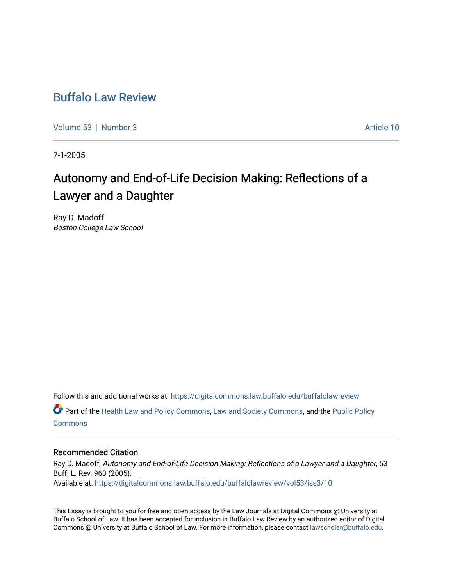## [Buffalo Law Review](https://digitalcommons.law.buffalo.edu/buffalolawreview)

[Volume 53](https://digitalcommons.law.buffalo.edu/buffalolawreview/vol53) [Number 3](https://digitalcommons.law.buffalo.edu/buffalolawreview/vol53/iss3) Article 10

7-1-2005

# Autonomy and End-of-Life Decision Making: Reflections of a Lawyer and a Daughter

Ray D. Madoff Boston College Law School

Follow this and additional works at: [https://digitalcommons.law.buffalo.edu/buffalolawreview](https://digitalcommons.law.buffalo.edu/buffalolawreview?utm_source=digitalcommons.law.buffalo.edu%2Fbuffalolawreview%2Fvol53%2Fiss3%2F10&utm_medium=PDF&utm_campaign=PDFCoverPages)  Part of the [Health Law and Policy Commons](http://network.bepress.com/hgg/discipline/901?utm_source=digitalcommons.law.buffalo.edu%2Fbuffalolawreview%2Fvol53%2Fiss3%2F10&utm_medium=PDF&utm_campaign=PDFCoverPages), [Law and Society Commons,](http://network.bepress.com/hgg/discipline/853?utm_source=digitalcommons.law.buffalo.edu%2Fbuffalolawreview%2Fvol53%2Fiss3%2F10&utm_medium=PDF&utm_campaign=PDFCoverPages) and the [Public Policy](http://network.bepress.com/hgg/discipline/400?utm_source=digitalcommons.law.buffalo.edu%2Fbuffalolawreview%2Fvol53%2Fiss3%2F10&utm_medium=PDF&utm_campaign=PDFCoverPages)

**[Commons](http://network.bepress.com/hgg/discipline/400?utm_source=digitalcommons.law.buffalo.edu%2Fbuffalolawreview%2Fvol53%2Fiss3%2F10&utm_medium=PDF&utm_campaign=PDFCoverPages)** 

#### Recommended Citation

Ray D. Madoff, Autonomy and End-of-Life Decision Making: Reflections of a Lawyer and a Daughter, 53 Buff. L. Rev. 963 (2005). Available at: [https://digitalcommons.law.buffalo.edu/buffalolawreview/vol53/iss3/10](https://digitalcommons.law.buffalo.edu/buffalolawreview/vol53/iss3/10?utm_source=digitalcommons.law.buffalo.edu%2Fbuffalolawreview%2Fvol53%2Fiss3%2F10&utm_medium=PDF&utm_campaign=PDFCoverPages)

This Essay is brought to you for free and open access by the Law Journals at Digital Commons @ University at Buffalo School of Law. It has been accepted for inclusion in Buffalo Law Review by an authorized editor of Digital Commons @ University at Buffalo School of Law. For more information, please contact [lawscholar@buffalo.edu](mailto:lawscholar@buffalo.edu).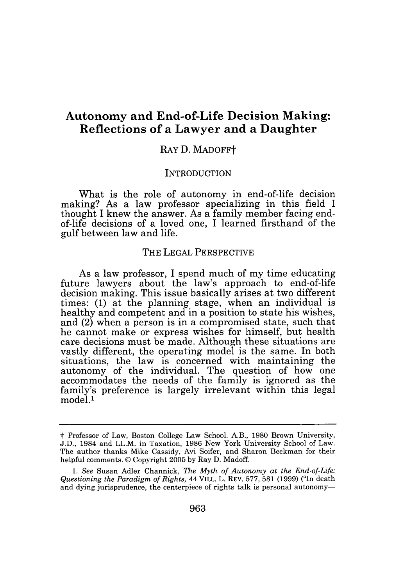### **Autonomy and End-of-Life Decision Making: Reflections of a Lawyer and a Daughter**

#### RAY D. MADOFFt

#### **INTRODUCTION**

What is the role of autonomy in end-of-life decision making? As a law professor specializing in this field I thought I knew the answer. As a family member facing endof-life decisions of a loved one, I learned firsthand of the gulf between law and life.

#### THE LEGAL PERSPECTIVE

As a law professor, I spend much of my time educating future lawyers about the law's approach to end-of-life decision making. This issue basically arises at two different times: (1) at the planning stage, when an individual is healthy and competent and in a position to state his wishes, and (2) when a person is in a compromised state, such that he cannot make or express wishes for himself, but health care decisions must be made. Although these situations are vastly different, the operating model is the same. In both situations, the law is concerned with maintaining the autonomy of the individual. The question of how one accommodates the needs of the family is ignored as the family's preference is largely irrelevant within this legal model.<sup>1</sup>

t Professor of Law, Boston College Law School. A.B., 1980 Brown University, J.D., 1984 and LL.M. in Taxation, 1986 New York University School of Law. The author thanks Mike Cassidy, Avi Soifer, and Sharon Beckman for their helpful comments. © Copyright 2005 by Ray D. Madoff.

*<sup>1.</sup> See* Susan Adler Channick, *The Myth of Autonomy at the End-of-Life: Questioning the Paradigm of Rights,* 44 VILL. L. REV. 577, 581 (1999) ("In death and dying jurisprudence, the centerpiece of rights talk is personal autonomy-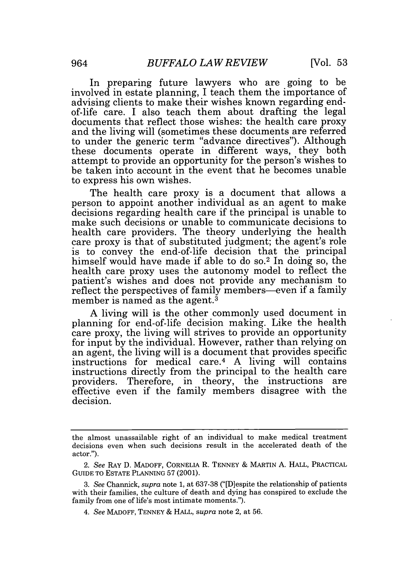In preparing future lawyers who are going to be involved in estate planning, I teach them the importance of advising clients to make their wishes known regarding endof-life care. I also teach them about drafting the legal documents that reflect those wishes: the health care proxy and the living will (sometimes these documents are referred to under the generic term "advance directives"). Although these documents operate in different ways, they both attempt to provide an opportunity for the person's wishes to be taken into account in the event that he becomes unable to express his own wishes.

The health care proxy is a document that allows a person to appoint another individual as an agent to make decisions regarding health care if the principal is unable to make such decisions or unable to communicate decisions to health care providers. The theory underlying the health care proxy is that of substituted judgment; the agent's role is to convey the end-of-life decision that the principal himself would have made if able to do so.<sup>2</sup> In doing so, the health care proxy uses the autonomy model to reflect the patient's wishes and does not provide any mechanism to reflect the perspectives of family members—even if a family member is named as the agent.<sup>3</sup>

A living will is the other commonly used document in planning for end-of-life decision making. Like the health care proxy, the living will strives to provide an opportunity for input by the individual. However, rather than relying on an agent, the living will is a document that provides specific instructions for medical care. 4 A living will contains instructions directly from the principal to the health care providers. Therefore, in theory, the instructions are effective even if the family members disagree with the decision.

the almost unassailable right of an individual to make medical treatment decisions even when such decisions result in the accelerated death of the actor.").

*<sup>2.</sup> See* RAY D. MADOFF, CORNELIA R. TENNEY **&** MARTIN A. HALL, PRACTICAL GUIDE TO ESTATE PLANNING 57 (2001).

<sup>3.</sup> *See* Channick, *supra* note 1, at 637-38 ("[D]espite the relationship of patients with their families, the culture of death and dying has conspired to exclude the family from one of life's most intimate moments.").

<sup>4.</sup> *See* MADOFF, TENNEY & HALL, *supra* note 2, at 56.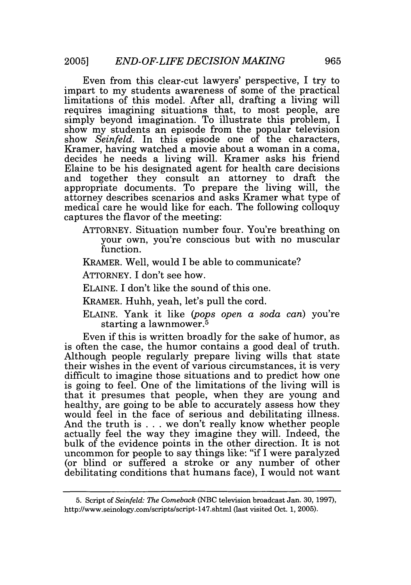Even from this clear-cut lawyers' perspective, I try to impart to my students awareness of some of the practical limitations of this model. After all, drafting a living will requires imagining situations that, to most people, are simply beyond imagination. To illustrate this problem, I show my students an episode from the popular television show *Seinfeld.* In this episode one of the characters, Kramer, having watched a movie about a woman in a coma, decides he needs a living will. Kramer asks his friend Elaine to be his designated agent for health care decisions and together they consult an attorney to draft the appropriate documents. To prepare the living will, the attorney describes scenarios and asks Kramer what type of medical care he would like for each. The following colloquy captures the flavor of the meeting:

- ATTORNEY. Situation number four. You're breathing on your own, you're conscious but with no muscular function.
- KRAMER. Well, would I be able to communicate?
- ATTORNEY. I don't see how.
- ELAINE. I don't like the sound of this one.
- KRAMER. Huhh, yeah, let's pull the cord.
- ELAINE. Yank it like *(pops open a soda can)* you're starting a lawnmower. <sup>5</sup>

Even if this is written broadly for the sake of humor, as is often the case, the humor contains a good deal of truth. Although people regularly prepare living wills that state their wishes in the event of various circumstances, it is very difficult to imagine those situations and to predict how one is going to feel. One of the limitations of the living will is that it presumes that people, when they are young and healthy, are going to be able to accurately assess how they would feel in the face of serious and debilitating illness. And the truth is ... we don't really know whether people actually feel the way they imagine they will. Indeed, the bulk of the evidence points in the other direction. It is not uncommon for people to say things like: "if I were paralyzed (or blind or suffered a stroke or any number of other debilitating conditions that humans face), I would not want

<sup>5.</sup> Script of *Seinfeld: The Comeback* (NBC television broadcast Jan. 30, 1997), http://www.seinology.com/scripts/script-147.shtml (last visited Oct. 1, 2005).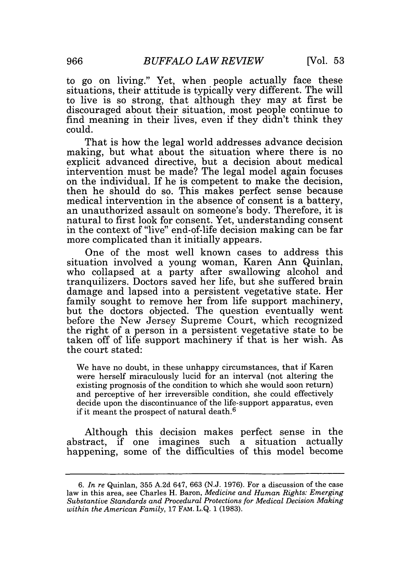to go on living." Yet, when people actually face these situations, their attitude is typically very different. The will to live is so strong, that although they may at first be discouraged about their situation, most people continue to find meaning in their lives, even if they didn't think they could.

That is how the legal world addresses advance decision making, but what about the situation where there is no explicit advanced directive, but a decision about medical intervention must be made? The legal model again focuses on the individual. If he is competent to make the decision, then he should do so. This makes perfect sense because medical intervention in the absence of consent is a battery, an unauthorized assault on someone's body. Therefore, it is natural to first look for consent. Yet, understanding consent in the context of "live" end-of-life decision making can be far more complicated than it initially appears.

One of the most well known cases to address this situation involved a young woman, Karen Ann Quinlan, who collapsed at a party after swallowing alcohol and tranquilizers. Doctors saved her life, but she suffered brain damage and lapsed into a persistent vegetative state. Her family sought to remove her from life support machinery, but the doctors objected. The question eventually went before the New Jersey Supreme Court, which recognized the right of a person in a persistent vegetative state to be taken off of life support machinery if that is her wish. As the court stated:

We have no doubt, in these unhappy circumstances, that if Karen were herself miraculously lucid for an interval (not altering the existing prognosis of the condition to which she would soon return) and perceptive of her irreversible condition, she could effectively decide upon the discontinuance of the life-support apparatus, even if it meant the prospect of natural death.6

Although this decision makes perfect sense in the abstract, if one imagines such a situation actually happening, some of the difficulties of this model become

*<sup>6.</sup> In re* Quinlan, 355 A.2d 647, 663 (N.J. 1976). For a discussion of the case law in this area, see Charles H. Baron, *Medicine and Human Rights: Emerging Substantive Standards and Procedural Protections for Medical Decision Making within the American Family,* 17 FAM. L.Q. 1 (1983).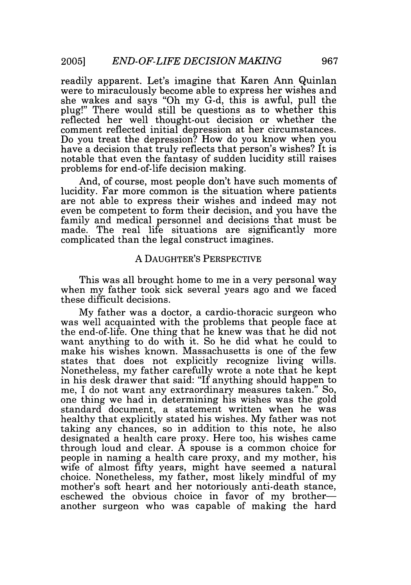readily apparent. Let's imagine that Karen Ann Quinlan were to miraculously become able to express her wishes and she wakes and says "Oh my G-d, this is awful, pull the plug!" There would still be questions as to whether this reflected her well thought-out decision or whether the comment reflected initial depression at her circumstances. Do you treat the depression? How do you know when you have a decision that truly reflects that person's wishes? It is notable that even the fantasy of sudden lucidity still raises problems for end-of-life decision making.

And, of course, most people don't have such moments of lucidity. Far more common is the situation where patients are not able to express their wishes and indeed may not even be competent to form their decision, and you have the family and medical personnel and decisions that must be made. The real life situations are significantly more complicated than the legal construct imagines.

#### A DAUGHTER'S PERSPECTIVE

This was all brought home to me in a very personal way when my father took sick several years ago and we faced these difficult decisions.

My father was a doctor, a cardio-thoracic surgeon who was well acquainted with the problems that people face at the end-of-life. One thing that he knew was that he did not want anything to do with it. So he did what he could to make his wishes known. Massachusetts is one of the few states that does not explicitly recognize living wills. Nonetheless, my father carefully wrote a note that he kept in his desk drawer that said: "If anything should happen to me, I do not want any extraordinary measures taken." So, one thing we had in determining his wishes was the gold standard document, a statement written when he was healthy that explicitly stated his wishes. My father was not taking any chances, so in addition to this note, he also designated a health care proxy. Here too, his wishes came through loud and clear.  $\tilde{A}$  spouse is a common choice for people in naming a health care proxy, and my mother, his wife of almost fifty years, might have seemed a natural choice. Nonetheless, my father, most likely mindful of my mother's soft heart and her notoriously anti-death stance, eschewed the obvious choice in favor of my brotheranother surgeon who was capable of making the hard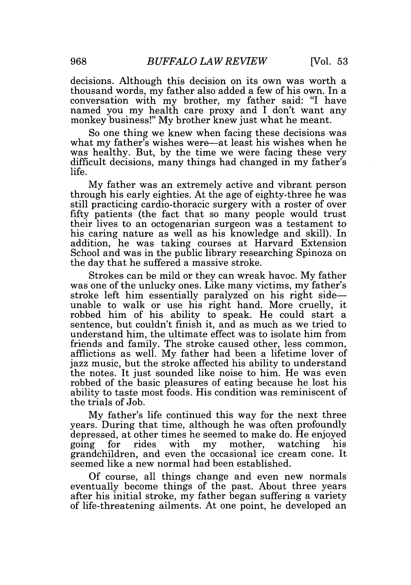decisions. Although this decision on its own was worth a thousand words, my father also added a few of his own. In a conversation with my brother, my father said: "I have named you my health care proxy and I don't want any monkey business!" My brother knew just what he meant.

So one thing we knew when facing these decisions was what my father's wishes were—at least his wishes when he was healthy. But, by the time we were facing these very difficult decisions, many things had changed in my father's life.

My father was an extremely active and vibrant person through his early eighties. At the age of eighty-three he was still practicing cardio-thoracic surgery with a roster of over fifty patients (the fact that so many people would trust their lives to an octogenarian surgeon was a testament to his caring nature as well as his knowledge and skill). In addition, he was taking courses at Harvard Extension School and was in the public library researching Spinoza on the day that he suffered a massive stroke.

Strokes can be mild or they can wreak havoc. My father was one of the unlucky ones. Like many victims, my father's stroke left him essentially paralyzed on his right sideunable to walk or use his right hand. More cruelly, it robbed him of his ability to speak. He could start a sentence, but couldn't finish it, and as much as we tried to understand him, the ultimate effect was to isolate him from friends and family. The stroke caused other, less common, afflictions as well. My father had been a lifetime lover of jazz music, but the stroke affected his ability to understand the notes. It just sounded like noise to him. He was even robbed of the basic pleasures of eating because he lost his ability to taste most foods. His condition was reminiscent of the trials of Job.

My father's life continued this way for the next three years. During that time, although he was often profoundly depressed, at other times he seemed to make do. He enjoyed going for rides with my mother, watching his grandchildren, and even the occasional ice cream cone. It seemed like a new normal had been established.

Of course, all things change and even new normals eventually become things of the past. About three years after his initial stroke, my father began suffering a variety of life-threatening ailments. At one point, he developed an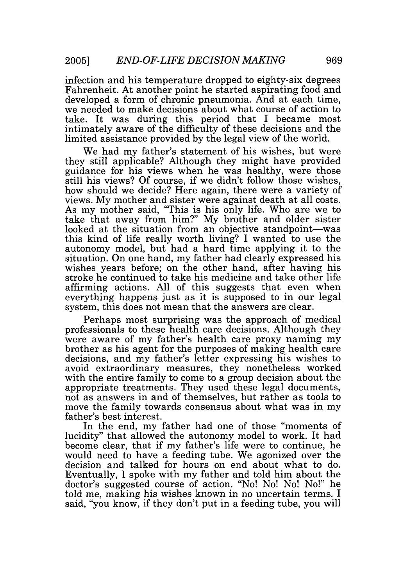infection and his temperature dropped to eighty-six degrees Fahrenheit. At another point he started aspirating food and developed a form of chronic pneumonia. And at each time, we needed to make decisions about what course of action to take. It was during this period that I became most intimately aware of the difficulty of these decisions and the limited assistance provided by the legal view of the world.

We had my father's statement of his wishes, but were they still applicable? Although they might have provided guidance for his views when he was healthy, were those still his views? Of course, if we didn't follow those wishes, how should we decide? Here again, there were a variety of views. My mother and sister were against death at all costs. As my mother said, "This is his only life. Who are we to take that away from him?" My brother and older sister looked at the situation from an objective standpoint—was this kind of life really worth living? I wanted to use the autonomy model, but had a hard time applying it to the situation. On one hand, my father had clearly expressed his wishes years before; on the other hand, after having his stroke he continued to take his medicine and take other life affirming actions. All of this suggests that even when everything happens just as it is supposed to in our legal system, this does not mean that the answers are clear.

Perhaps most surprising was the approach of medical professionals to these health care decisions. Although they were aware of my father's health care proxy naming my brother as his agent for the purposes of making health care decisions, and my father's letter expressing his wishes to avoid extraordinary measures, they nonetheless worked with the entire family to come to a group decision about the appropriate treatments. They used these legal documents, not as answers in and of themselves, but rather as tools to move the family towards consensus about what was in my father's best interest.

In the end, my father had one of those "moments of lucidity" that allowed the autonomy model to work. It had become clear, that if my father's life were to continue, he would need to have a feeding tube. We agonized over the decision and talked for hours on end about what to do. Eventually, I spoke with my father and told him about the doctor's suggested course of action. "No! No! No! No!" he told me, making his wishes known in no uncertain terms. I said, "you know, if they don't put in a feeding tube, you will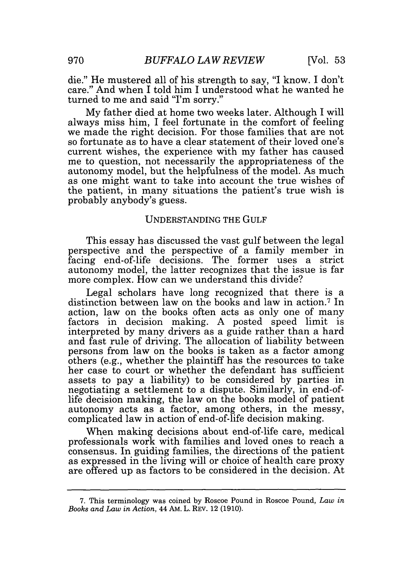die." He mustered all of his strength to say, "I know. I don't care." And when I told him I understood what he wanted he turned to me and said "I'm sorry."

My father died at home two weeks later. Although I will always miss him, I feel fortunate in the comfort of feeling we made the right decision. For those families that are not so fortunate as to have a clear statement of their loved one's current wishes, the experience with my father has caused me to question, not necessarily the appropriateness of the autonomy model, but the helpfulness of the model. As much as one might want to take into account the true wishes of the patient, in many situations the patient's true wish is probably anybody's guess.

#### UNDERSTANDING THE GULF

This essay has discussed the vast gulf between the legal perspective and the perspective of a family member in facing end-of-life decisions. The former uses a strict autonomy model, the latter recognizes that the issue is far more complex. How can we understand this divide?

Legal scholars have long recognized that there is a distinction between law on the books and law in action.<sup>7</sup> In action, law on the books often acts as only one of many factors in decision making. A posted speed limit is interpreted by many drivers as a guide rather than a hard and fast rule of driving. The allocation of liability between persons from law on the books is taken as a factor among others (e.g., whether the plaintiff has the resources to take her case to court or whether the defendant has sufficient assets to pay a liability) to be considered by parties in negotiating a settlement to a dispute. Similarly, in end-oflife decision making, the law on the books model of patient autonomy acts as a factor, among others, in the messy, complicated law in action of end-of-life decision making.

When making decisions about end-of-life care, medical professionals work with families and loved ones to reach a consensus. In guiding families, the directions of the patient as expressed in the living will or choice of health care proxy are offered up as factors to be considered in the decision. At

<sup>7.</sup> This terminology was coined by Roscoe Pound in Roscoe Pound, *Law in Books and Law in Action,* 44 AM. L. REV. 12 (1910).